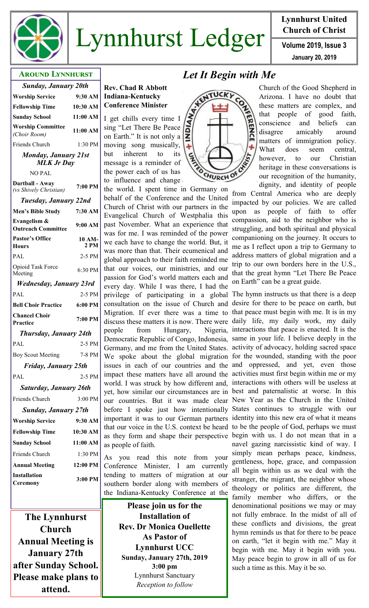

# Lynnhurst Ledger  $\frac{C$ hurch of Christ

### **Lynnhurst United Church of Christ**

**January 20, 2019**

### **Around Lynnhurst**

| AKUUND DINNIUKSI                          |               |
|-------------------------------------------|---------------|
| <b>Sunday, January 20th</b>               |               |
| <b>Worship Service</b>                    | 9:30 AM       |
| <b>Fellowship Time</b>                    | 10:30 AM      |
| <b>Sunday School</b>                      | 11:00 AM      |
| <b>Worship Committee</b><br>(Choir Room)  | 11:00 AM      |
| Friends Church                            | 1:30 PM       |
| <b>Monday, January 21st</b>               |               |
| <b>MLK Jr Day</b>                         |               |
| <b>NO PAL</b>                             |               |
| Dartball - Away<br>(vs Shively Christian) | 7:00 PM       |
| Tuesday, January 22nd                     |               |
| Men's Bible Study                         | 7:30 AM       |
| Evangelism &<br><b>Outreach Committee</b> | 9:00 AM       |
| <b>Pastor's Office</b><br><b>Hours</b>    | 10 AM-<br>2PM |
| PAL                                       | 2-5 PM        |
| Opioid Task Force<br>Meeting              | 6:30 PM       |
| Wednesday, January 23rd                   |               |
| PAL                                       | 2-5 PM        |
| <b>Bell Choir Practice</b>                | 6:00 PM       |
| <b>Chancel Choir</b><br>Practice          | 7:00 PM       |
| <b>Thursday, January 24th</b>             |               |
| PAL                                       | 2-5 PM        |
| <b>Boy Scout Meeting</b>                  | 7-8 PM        |
| Friday, January 25th                      |               |
| PAL                                       | 2-5 PM        |
| Saturday, January 26th                    |               |
| Friends Church                            | 3:00 PM       |
| <b>Sunday, January 27th</b>               |               |
| <b>Worship Service</b>                    | 9:30 AM       |
| <b>Fellowship Time</b>                    | 10:30 AM      |
| <b>Sunday School</b>                      | 11:00 AM      |
| <b>Friends Church</b>                     | 1:30 PM       |
| <b>Annual Meeting</b>                     | 12:00 PM      |
| <b>Installation</b>                       |               |
| Ceremony                                  | 3:00 PM       |

**The Lynnhurst Church Annual Meeting is January 27th after Sunday School. Please make plans to attend.**

## **Rev. Chad R Abbott Indiana-Kentucky Conference Minister**

I get chills every time I sing "Let There Be Peace sing "Let There Be Peace<br>on Earth." It is not only a moving song musically, but inherent to its message is a reminder of the power each of us has to influence and change

the world. I spent time in Germany on behalf of the Conference and the United Church of Christ with our partners in the Evangelical Church of Westphalia this past November. What an experience that was for me. I was reminded of the power we each have to change the world. But, it was more than that. Their ecumenical and global approach to their faith reminded me that our voices, our ministries, and our passion for God's world matters each and every day. While I was there, I had the privilege of participating in a global The hymn instructs us that there is a deep consultation on the issue of Church and Migration. If ever there was a time to that peace must begin with me. It is in my discuss these matters it is now. There were daily life, my daily work, my daily people from Hungary, Democratic Republic of Congo, Indonesia, same in your life. I believe deeply in the Germany, and me from the United States. activity of advocacy, holding sacred space We spoke about the global migration for the wounded, standing with the poor issues in each of our countries and the and oppressed, and yet, even those impact these matters have all around the activities must first begin within me or my world. I was struck by how different and, interactions with others will be useless at yet, how similar our circumstances are in best and paternalistic at worse. In this our countries. But it was made clear New Year as the Church in the United before I spoke just how intentionally States continues to struggle with our important it was to our German partners identity into this new era of what it means that our voice in the U.S. context be heard to be the people of God, perhaps we must as they form and shape their perspective as people of faith.

As you read this note from your Conference Minister, I am currently tending to matters of migration at our southern border along with members of the Indiana-Kentucky Conference at the

**Please join us for the Installation of Rev. Dr Monica Ouellette As Pastor of Lynnhurst UCC Sunday, January 27th, 2019 3:00 pm** Lynnhurst Sanctuary *Reception to follow*

# *Let It Begin with Me*



Church of the Good Shepherd in Arizona. I have no doubt that these matters are complex, and that people of good faith, conscience and beliefs can disagree amicably around matters of immigration policy. What does seem central, however, to our Christian heritage in these conversations is our recognition of the humanity, dignity, and identity of people

from Central America who are deeply impacted by our policies. We are called upon as people of faith to offer compassion, aid to the neighbor who is struggling, and both spiritual and physical companioning on the journey. It occurs to me as I reflect upon a trip to Germany to address matters of global migration and a trip to our own borders here in the U.S., that the great hymn "Let There Be Peace on Earth" can be a great guide.

desire for there to be peace on earth, but Nigeria, interactions that peace is enacted. It is the begin with us. I do not mean that in a navel gazing narcissistic kind of way. I simply mean perhaps peace, kindness, gentleness, hope, grace, and compassion all begin within us as we deal with the stranger, the migrant, the neighbor whose theology or politics are different, the family member who differs, or the denominational positions we may or may not fully embrace. In the midst of all of these conflicts and divisions, the great hymn reminds us that for there to be peace on earth, "let it begin with me." May it begin with me. May it begin with you. May peace begin to grow in all of us for such a time as this. May it be so.